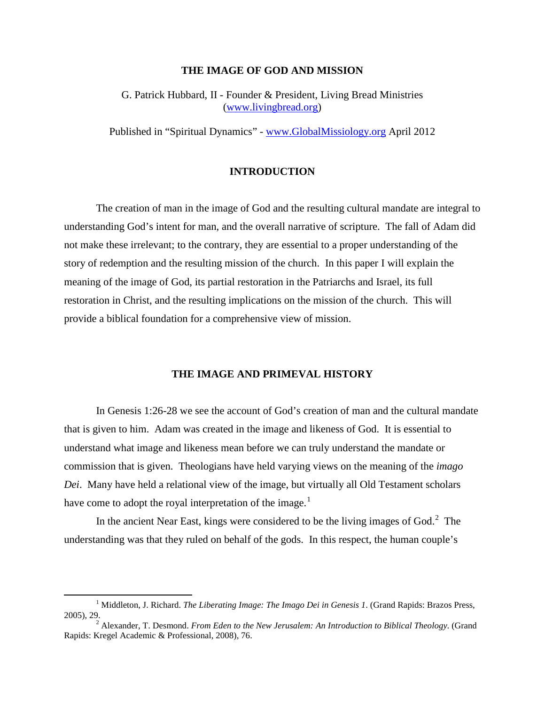## **THE IMAGE OF GOD AND MISSION**

G. Patrick Hubbard, II - Founder & President, Living Bread Ministries [\(www.livingbread.org\)](http://www.livingbread.org/)

Published in "Spiritual Dynamics" - [www.GlobalMissiology.org](http://www.globalmissiology.org/) April 2012

# **INTRODUCTION**

The creation of man in the image of God and the resulting cultural mandate are integral to understanding God's intent for man, and the overall narrative of scripture. The fall of Adam did not make these irrelevant; to the contrary, they are essential to a proper understanding of the story of redemption and the resulting mission of the church. In this paper I will explain the meaning of the image of God, its partial restoration in the Patriarchs and Israel, its full restoration in Christ, and the resulting implications on the mission of the church. This will provide a biblical foundation for a comprehensive view of mission.

### **THE IMAGE AND PRIMEVAL HISTORY**

In Genesis 1:26-28 we see the account of God's creation of man and the cultural mandate that is given to him. Adam was created in the image and likeness of God. It is essential to understand what image and likeness mean before we can truly understand the mandate or commission that is given. Theologians have held varying views on the meaning of the *imago Dei*. Many have held a relational view of the image, but virtually all Old Testament scholars have come to adopt the royal interpretation of the image.<sup>[1](#page-0-0)</sup>

In the ancient Near East, kings were considered to be the living images of God. $2$  The understanding was that they ruled on behalf of the gods. In this respect, the human couple's

<span id="page-0-0"></span><sup>&</sup>lt;sup>1</sup> Middleton, J. Richard. *The Liberating Image: The Imago Dei in Genesis 1*. (Grand Rapids: Brazos Press, 2005), 29.

<span id="page-0-1"></span><sup>2</sup> Alexander, T. Desmond. *From Eden to the New Jerusalem: An Introduction to Biblical Theology.* (Grand Rapids: Kregel Academic & Professional, 2008), 76.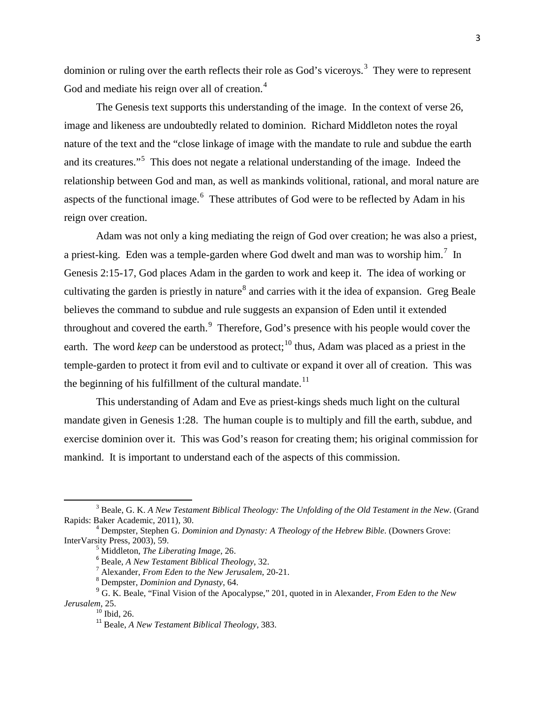dominion or ruling over the earth reflects their role as God's viceroys.<sup>[3](#page-1-0)</sup> They were to represent God and mediate his reign over all of creation.<sup>[4](#page-1-1)</sup>

The Genesis text supports this understanding of the image. In the context of verse 26, image and likeness are undoubtedly related to dominion. Richard Middleton notes the royal nature of the text and the "close linkage of image with the mandate to rule and subdue the earth and its creatures."<sup>[5](#page-1-2)</sup> This does not negate a relational understanding of the image. Indeed the relationship between God and man, as well as mankinds volitional, rational, and moral nature are aspects of the functional image.<sup>[6](#page-1-3)</sup> These attributes of God were to be reflected by Adam in his reign over creation.

Adam was not only a king mediating the reign of God over creation; he was also a priest, a priest-king. Eden was a temple-garden where God dwelt and man was to worship him.<sup>[7](#page-1-4)</sup> In Genesis 2:15-17, God places Adam in the garden to work and keep it. The idea of working or cultivating the garden is priestly in nature<sup>[8](#page-1-5)</sup> and carries with it the idea of expansion. Greg Beale believes the command to subdue and rule suggests an expansion of Eden until it extended throughout and covered the earth. $9$  Therefore, God's presence with his people would cover the earth. The word *keep* can be understood as protect;<sup>[10](#page-1-7)</sup> thus, Adam was placed as a priest in the temple-garden to protect it from evil and to cultivate or expand it over all of creation. This was the beginning of his fulfillment of the cultural mandate.<sup>[11](#page-1-8)</sup>

This understanding of Adam and Eve as priest-kings sheds much light on the cultural mandate given in Genesis 1:28. The human couple is to multiply and fill the earth, subdue, and exercise dominion over it. This was God's reason for creating them; his original commission for mankind. It is important to understand each of the aspects of this commission.

<span id="page-1-0"></span><sup>&</sup>lt;sup>3</sup> Beale, G. K. *A New Testament Biblical Theology: The Unfolding of the Old Testament in the New*. (Grand Rapids: Baker Academic, 2011), 30.

<span id="page-1-3"></span><span id="page-1-2"></span><span id="page-1-1"></span><sup>&</sup>lt;sup>4</sup> Dempster, Stephen G. *Dominion and Dynasty: A Theology of the Hebrew Bible*. (Downers Grove: InterVarsity Press, 2003), 59.

<sup>&</sup>lt;sup>5</sup> Middleton, *The Liberating Image*, 26.<br>
<sup>6</sup> Beale, *A New Testament Biblical Theology*, 32.<br>
<sup>7</sup> Alexander, *From Eden to the New Jerusalem*, 20-21.<br>
<sup>8</sup> Dempster, *Dominion and Dynasty*, 64.

<span id="page-1-8"></span><span id="page-1-7"></span><span id="page-1-6"></span><span id="page-1-5"></span><span id="page-1-4"></span><sup>9</sup> G. K. Beale, "Final Vision of the Apocalypse," 201, quoted in in Alexander, *From Eden to the New Jerusalem*, 25.

<sup>&</sup>lt;sup>11</sup> Beale, *A New Testament Biblical Theology*, 383.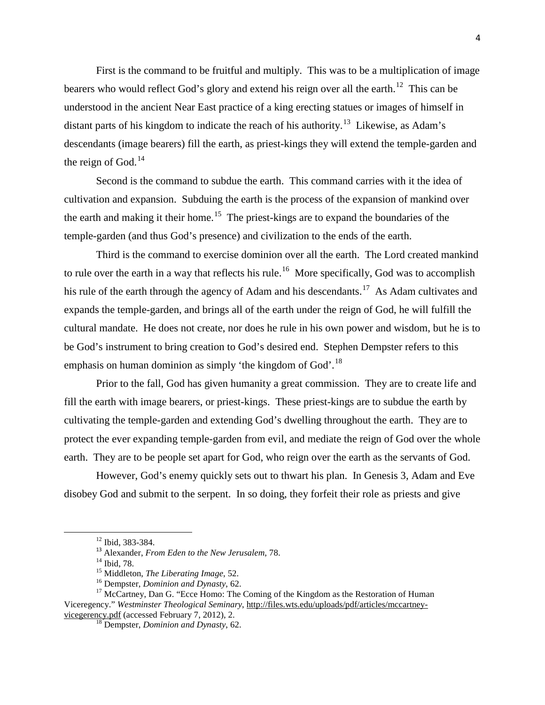First is the command to be fruitful and multiply. This was to be a multiplication of image bearers who would reflect God's glory and extend his reign over all the earth.<sup>[12](#page-2-0)</sup> This can be understood in the ancient Near East practice of a king erecting statues or images of himself in distant parts of his kingdom to indicate the reach of his authority.<sup>13</sup> Likewise, as Adam's descendants (image bearers) fill the earth, as priest-kings they will extend the temple-garden and the reign of God.<sup>[14](#page-2-2)</sup>

Second is the command to subdue the earth. This command carries with it the idea of cultivation and expansion. Subduing the earth is the process of the expansion of mankind over the earth and making it their home.<sup>[15](#page-2-3)</sup> The priest-kings are to expand the boundaries of the temple-garden (and thus God's presence) and civilization to the ends of the earth.

Third is the command to exercise dominion over all the earth. The Lord created mankind to rule over the earth in a way that reflects his rule.<sup>[16](#page-2-4)</sup> More specifically, God was to accomplish his rule of the earth through the agency of Adam and his descendants.<sup>17</sup> As Adam cultivates and expands the temple-garden, and brings all of the earth under the reign of God, he will fulfill the cultural mandate. He does not create, nor does he rule in his own power and wisdom, but he is to be God's instrument to bring creation to God's desired end. Stephen Dempster refers to this emphasis on human dominion as simply 'the kingdom of God'.<sup>[18](#page-2-6)</sup>

Prior to the fall, God has given humanity a great commission. They are to create life and fill the earth with image bearers, or priest-kings. These priest-kings are to subdue the earth by cultivating the temple-garden and extending God's dwelling throughout the earth. They are to protect the ever expanding temple-garden from evil, and mediate the reign of God over the whole earth. They are to be people set apart for God, who reign over the earth as the servants of God.

However, God's enemy quickly sets out to thwart his plan. In Genesis 3, Adam and Eve disobey God and submit to the serpent. In so doing, they forfeit their role as priests and give

<span id="page-2-5"></span><span id="page-2-4"></span><span id="page-2-3"></span><span id="page-2-2"></span><span id="page-2-1"></span><span id="page-2-0"></span><sup>&</sup>lt;sup>12</sup> Ibid, 383-384.<br><sup>13</sup> Alexander, *From Eden to the New Jerusalem*, 78.<br><sup>14</sup> Ibid, 78.<br><sup>15</sup> Middleton, *The Liberating Image*, 52.<br><sup>16</sup> Dempster, *Dominion and Dynasty*, 62.<br><sup>17</sup> McCartney, Dan G. "Ecce Homo: The Coming Viceregency." *Westminster Theological Seminary*, [http://files.wts.edu/uploads/pdf/articles/mccartney-](http://files.wts.edu/uploads/pdf/articles/mccartney-vicegerency.pdf)

<span id="page-2-6"></span><sup>&</sup>lt;sup>18</sup> Dempster, *Dominion and Dynasty*, 62.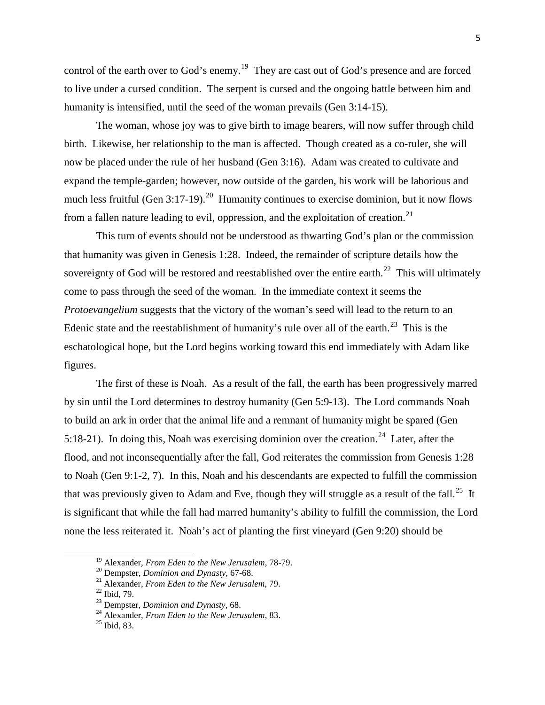control of the earth over to God's enemy.<sup>[19](#page-3-0)</sup> They are cast out of God's presence and are forced to live under a cursed condition. The serpent is cursed and the ongoing battle between him and humanity is intensified, until the seed of the woman prevails (Gen 3:14-15).

The woman, whose joy was to give birth to image bearers, will now suffer through child birth. Likewise, her relationship to the man is affected. Though created as a co-ruler, she will now be placed under the rule of her husband (Gen 3:16). Adam was created to cultivate and expand the temple-garden; however, now outside of the garden, his work will be laborious and much less fruitful (Gen 3:17-19).<sup>20</sup> Humanity continues to exercise dominion, but it now flows from a fallen nature leading to evil, oppression, and the exploitation of creation.<sup>[21](#page-3-2)</sup>

This turn of events should not be understood as thwarting God's plan or the commission that humanity was given in Genesis 1:28. Indeed, the remainder of scripture details how the sovereignty of God will be restored and reestablished over the entire earth.<sup>[22](#page-3-3)</sup> This will ultimately come to pass through the seed of the woman. In the immediate context it seems the *Protoevangelium* suggests that the victory of the woman's seed will lead to the return to an Edenic state and the reestablishment of humanity's rule over all of the earth.<sup>23</sup> This is the eschatological hope, but the Lord begins working toward this end immediately with Adam like figures.

The first of these is Noah. As a result of the fall, the earth has been progressively marred by sin until the Lord determines to destroy humanity (Gen 5:9-13). The Lord commands Noah to build an ark in order that the animal life and a remnant of humanity might be spared (Gen 5:18-21). In doing this, Noah was exercising dominion over the creation.<sup>[24](#page-3-5)</sup> Later, after the flood, and not inconsequentially after the fall, God reiterates the commission from Genesis 1:28 to Noah (Gen 9:1-2, 7). In this, Noah and his descendants are expected to fulfill the commission that was previously given to Adam and Eve, though they will struggle as a result of the fall.<sup>[25](#page-3-6)</sup> It is significant that while the fall had marred humanity's ability to fulfill the commission, the Lord none the less reiterated it. Noah's act of planting the first vineyard (Gen 9:20) should be

<span id="page-3-1"></span><span id="page-3-0"></span><sup>&</sup>lt;sup>19</sup> Alexander, *From Eden to the New Jerusalem*, 78-79.<br><sup>20</sup> Dempster, *Dominion and Dynasty*, 67-68.<br><sup>21</sup> Alexander, *From Eden to the New Jerusalem*, 79.<br><sup>22</sup> Ibid, 79.<br><sup>23</sup> Dempster, *Dominion and Dynasty*, 68.<br><sup>24</sup> A

<span id="page-3-2"></span>

<span id="page-3-3"></span>

<span id="page-3-6"></span><span id="page-3-5"></span><span id="page-3-4"></span>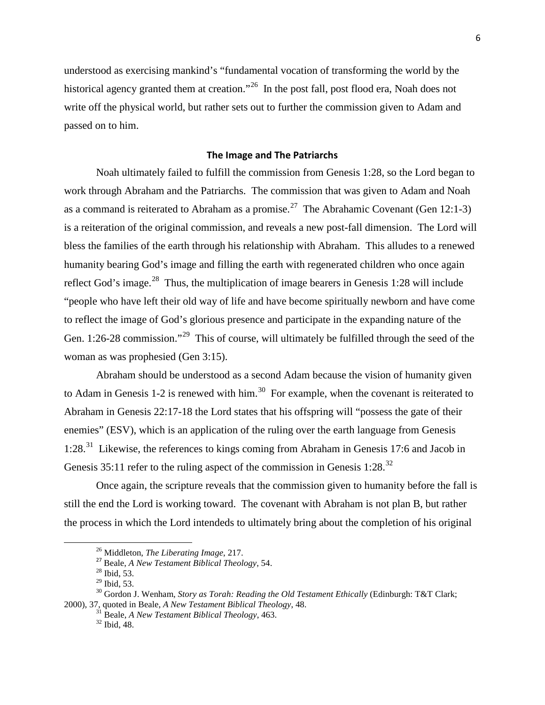understood as exercising mankind's "fundamental vocation of transforming the world by the historical agency granted them at creation."<sup>26</sup> In the post fall, post flood era, Noah does not write off the physical world, but rather sets out to further the commission given to Adam and passed on to him.

#### **The Image and The Patriarchs**

Noah ultimately failed to fulfill the commission from Genesis 1:28, so the Lord began to work through Abraham and the Patriarchs. The commission that was given to Adam and Noah as a command is reiterated to Abraham as a promise.<sup>[27](#page-4-1)</sup> The Abrahamic Covenant (Gen 12:1-3) is a reiteration of the original commission, and reveals a new post-fall dimension. The Lord will bless the families of the earth through his relationship with Abraham. This alludes to a renewed humanity bearing God's image and filling the earth with regenerated children who once again reflect God's image.<sup>28</sup> Thus, the multiplication of image bearers in Genesis 1:[28](#page-4-2) will include "people who have left their old way of life and have become spiritually newborn and have come to reflect the image of God's glorious presence and participate in the expanding nature of the Gen. 1:26-28 commission."<sup>[29](#page-4-3)</sup> This of course, will ultimately be fulfilled through the seed of the woman as was prophesied (Gen 3:15).

Abraham should be understood as a second Adam because the vision of humanity given to Adam in Genesis 1-2 is renewed with him.<sup>[30](#page-4-4)</sup> For example, when the covenant is reiterated to Abraham in Genesis 22:17-18 the Lord states that his offspring will "possess the gate of their enemies" (ESV), which is an application of the ruling over the earth language from Genesis 1:28.[31](#page-4-5) Likewise, the references to kings coming from Abraham in Genesis 17:6 and Jacob in Genesis  $35:11$  refer to the ruling aspect of the commission in Genesis  $1:28$ <sup>32</sup>

Once again, the scripture reveals that the commission given to humanity before the fall is still the end the Lord is working toward. The covenant with Abraham is not plan B, but rather the process in which the Lord intendeds to ultimately bring about the completion of his original

<sup>&</sup>lt;sup>26</sup> Middleton, *The Liberating Image*, 217.<br><sup>27</sup> Beale, *A New Testament Biblical Theology*, 54.<br><sup>28</sup> Ibid, 53.<br><sup>29</sup> Ibid. 53.

<span id="page-4-6"></span><span id="page-4-5"></span><span id="page-4-4"></span><span id="page-4-3"></span><span id="page-4-2"></span><span id="page-4-1"></span><span id="page-4-0"></span><sup>&</sup>lt;sup>30</sup> Gordon J. Wenham, *Story as Torah: Reading the Old Testament Ethically* (Edinburgh: T&T Clark; 2000), 37, quoted in Beale, *A New Testament Biblical Theology*, 48. 31 Beale, *A New Testament Biblical Theology*, 463. <sup>32</sup> Ibid, 48.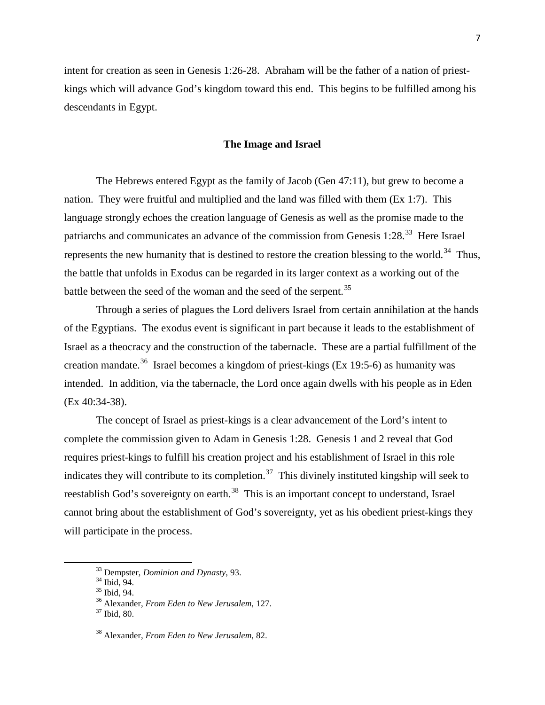intent for creation as seen in Genesis 1:26-28. Abraham will be the father of a nation of priestkings which will advance God's kingdom toward this end. This begins to be fulfilled among his descendants in Egypt.

## **The Image and Israel**

The Hebrews entered Egypt as the family of Jacob (Gen 47:11), but grew to become a nation. They were fruitful and multiplied and the land was filled with them (Ex 1:7). This language strongly echoes the creation language of Genesis as well as the promise made to the patriarchs and communicates an advance of the commission from Genesis  $1:28.^{33}$  Here Israel represents the new humanity that is destined to restore the creation blessing to the world.<sup>34</sup> Thus, the battle that unfolds in Exodus can be regarded in its larger context as a working out of the battle between the seed of the woman and the seed of the serpent.<sup>[35](#page-5-2)</sup>

Through a series of plagues the Lord delivers Israel from certain annihilation at the hands of the Egyptians. The exodus event is significant in part because it leads to the establishment of Israel as a theocracy and the construction of the tabernacle. These are a partial fulfillment of the creation mandate.<sup>36</sup> Israel becomes a kingdom of priest-kings (Ex 19:5-6) as humanity was intended. In addition, via the tabernacle, the Lord once again dwells with his people as in Eden (Ex 40:34-38).

The concept of Israel as priest-kings is a clear advancement of the Lord's intent to complete the commission given to Adam in Genesis 1:28. Genesis 1 and 2 reveal that God requires priest-kings to fulfill his creation project and his establishment of Israel in this role indicates they will contribute to its completion.<sup>37</sup> This divinely instituted kingship will seek to reestablish God's sovereignty on earth.<sup>[38](#page-5-5)</sup> This is an important concept to understand, Israel cannot bring about the establishment of God's sovereignty, yet as his obedient priest-kings they will participate in the process.

<span id="page-5-1"></span><span id="page-5-0"></span>

<span id="page-5-3"></span><span id="page-5-2"></span>

<sup>&</sup>lt;sup>33</sup> Dempster, *Dominion and Dynasty*, 93.<br><sup>35</sup> Ibid, 94.<br><sup>35</sup> Alexander, *From Eden to New Jerusalem*, 127.<br><sup>37</sup> Ibid. 80.

<span id="page-5-4"></span>

<span id="page-5-5"></span><sup>38</sup> Alexander, *From Eden to New Jerusalem*, 82.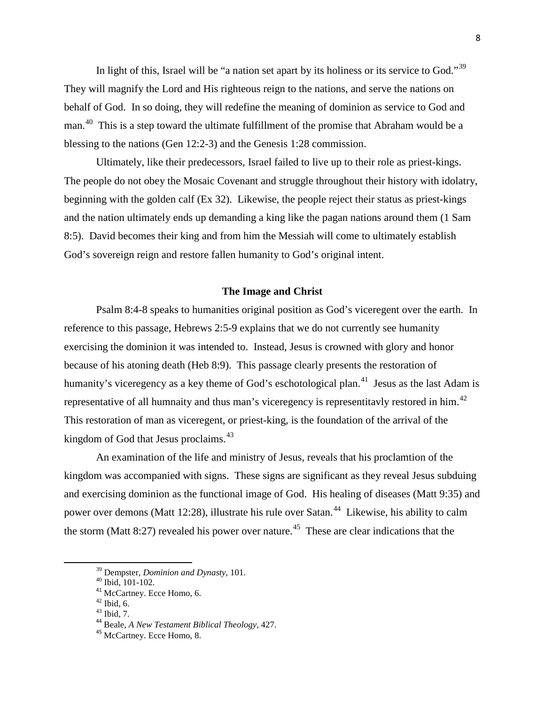In light of this, Israel will be "a nation set apart by its holiness or its service to God."<sup>39</sup> They will magnify the Lord and His righteous reign to the nations, and serve the nations on behalf of God. In so doing, they will redefine the meaning of dominion as service to God and man.[40](#page-6-1) This is a step toward the ultimate fulfillment of the promise that Abraham would be a blessing to the nations (Gen 12:2-3) and the Genesis 1:28 commission.

Ultimately, like their predecessors, Israel failed to live up to their role as priest-kings. The people do not obey the Mosaic Covenant and struggle throughout their history with idolatry, beginning with the golden calf (Ex 32). Likewise, the people reject their status as priest-kings and the nation ultimately ends up demanding a king like the pagan nations around them (1 Sam 8:5). David becomes their king and from him the Messiah will come to ultimately establish God's sovereign reign and restore fallen humanity to God's original intent.

### **The Image and Christ**

Psalm 8:4-8 speaks to humanities original position as God's viceregent over the earth. In reference to this passage, Hebrews 2:5-9 explains that we do not currently see humanity exercising the dominion it was intended to. Instead, Jesus is crowned with glory and honor because of his atoning death (Heb 8:9). This passage clearly presents the restoration of humanity's viceregency as a key theme of God's eschotological plan.<sup>41</sup> Jesus as the last Adam is representative of all humnaity and thus man's viceregency is representitavly restored in him.<sup>42</sup> This restoration of man as viceregent, or priest-king, is the foundation of the arrival of the kingdom of God that Jesus proclaims.<sup>[43](#page-6-4)</sup>

An examination of the life and ministry of Jesus, reveals that his proclamtion of the kingdom was accompanied with signs. These signs are significant as they reveal Jesus subduing and exercising dominion as the functional image of God. His healing of diseases (Matt 9:35) and power over demons (Matt 12:28), illustrate his rule over Satan.<sup>[44](#page-6-5)</sup> Likewise, his ability to calm the storm (Matt 8:27) revealed his power over nature.<sup>45</sup> These are clear indications that the

<span id="page-6-2"></span><span id="page-6-1"></span><span id="page-6-0"></span>

<span id="page-6-4"></span><span id="page-6-3"></span>

<span id="page-6-5"></span>

<sup>&</sup>lt;sup>39</sup> Dempster, *Dominion and Dynasty*, 101.<br><sup>40</sup> Ibid, 101-102.<br><sup>42</sup> McCartney. Ecce Homo, 6.<br><sup>42</sup> Ibid, 6.<br><sup>43</sup> Ibid, 7.<br><sup>44</sup> Beale, *A New Testament Biblical Theology*, 427.<br><sup>45</sup> McCartney. Ecce Homo, 8.

<span id="page-6-6"></span>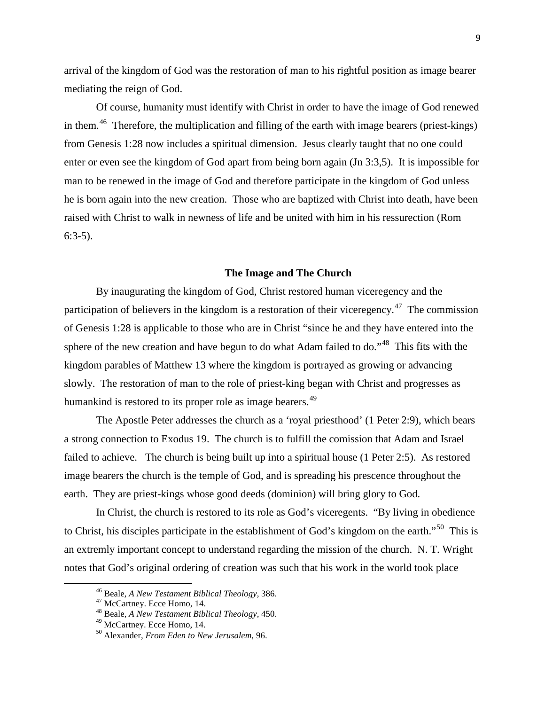arrival of the kingdom of God was the restoration of man to his rightful position as image bearer mediating the reign of God.

Of course, humanity must identify with Christ in order to have the image of God renewed in them.<sup>[46](#page-7-0)</sup> Therefore, the multiplication and filling of the earth with image bearers (priest-kings) from Genesis 1:28 now includes a spiritual dimension. Jesus clearly taught that no one could enter or even see the kingdom of God apart from being born again (Jn 3:3,5). It is impossible for man to be renewed in the image of God and therefore participate in the kingdom of God unless he is born again into the new creation. Those who are baptized with Christ into death, have been raised with Christ to walk in newness of life and be united with him in his ressurection (Rom 6:3-5).

#### **The Image and The Church**

By inaugurating the kingdom of God, Christ restored human viceregency and the participation of believers in the kingdom is a restoration of their viceregency.<sup>47</sup> The commission of Genesis 1:28 is applicable to those who are in Christ "since he and they have entered into the sphere of the new creation and have begun to do what Adam failed to do."<sup>48</sup> This fits with the kingdom parables of Matthew 13 where the kingdom is portrayed as growing or advancing slowly. The restoration of man to the role of priest-king began with Christ and progresses as humankind is restored to its proper role as image bearers.<sup>[49](#page-7-3)</sup>

The Apostle Peter addresses the church as a 'royal priesthood' (1 Peter 2:9), which bears a strong connection to Exodus 19. The church is to fulfill the comission that Adam and Israel failed to achieve. The church is being built up into a spiritual house (1 Peter 2:5). As restored image bearers the church is the temple of God, and is spreading his prescence throughout the earth. They are priest-kings whose good deeds (dominion) will bring glory to God.

In Christ, the church is restored to its role as God's viceregents. "By living in obedience to Christ, his disciples participate in the establishment of God's kingdom on the earth."<sup>50</sup> This is an extremly important concept to understand regarding the mission of the church. N. T. Wright notes that God's original ordering of creation was such that his work in the world took place

<span id="page-7-2"></span>

<span id="page-7-1"></span><span id="page-7-0"></span><sup>46</sup> Beale, *A New Testament Biblical Theology*, 386. <sup>47</sup> McCartney. Ecce Homo, 14. <sup>48</sup> Beale, *A New Testament Biblical Theology*, 450. <sup>49</sup> McCartney. Ecce Homo, 14. <sup>50</sup> Alexander, *From Eden to New Jerusalem*, 96.

<span id="page-7-3"></span>

<span id="page-7-4"></span>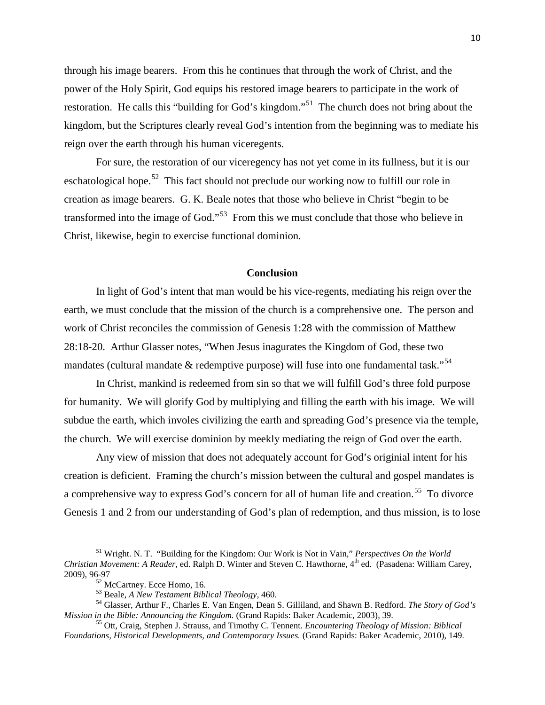through his image bearers. From this he continues that through the work of Christ, and the power of the Holy Spirit, God equips his restored image bearers to participate in the work of restoration. He calls this "building for God's kingdom."<sup>51</sup> The church does not bring about the kingdom, but the Scriptures clearly reveal God's intention from the beginning was to mediate his reign over the earth through his human viceregents.

For sure, the restoration of our viceregency has not yet come in its fullness, but it is our eschatological hope.<sup>52</sup> This fact should not preclude our working now to fulfill our role in creation as image bearers. G. K. Beale notes that those who believe in Christ "begin to be transformed into the image of God."<sup>[53](#page-8-2)</sup> From this we must conclude that those who believe in Christ, likewise, begin to exercise functional dominion.

#### **Conclusion**

In light of God's intent that man would be his vice-regents, mediating his reign over the earth, we must conclude that the mission of the church is a comprehensive one. The person and work of Christ reconciles the commission of Genesis 1:28 with the commission of Matthew 28:18-20. Arthur Glasser notes, "When Jesus inagurates the Kingdom of God, these two mandates (cultural mandate & redemptive purpose) will fuse into one fundamental task."<sup>54</sup>

In Christ, mankind is redeemed from sin so that we will fulfill God's three fold purpose for humanity. We will glorify God by multiplying and filling the earth with his image. We will subdue the earth, which involes civilizing the earth and spreading God's presence via the temple, the church. We will exercise dominion by meekly mediating the reign of God over the earth.

Any view of mission that does not adequately account for God's originial intent for his creation is deficient. Framing the church's mission between the cultural and gospel mandates is a comprehensive way to express God's concern for all of human life and creation.<sup>55</sup> To divorce Genesis 1 and 2 from our understanding of God's plan of redemption, and thus mission, is to lose

<span id="page-8-0"></span><sup>51</sup> Wright. N. T. "Building for the Kingdom: Our Work is Not in Vain," *Perspectives On the World Christian Movement: A Reader*, ed. Ralph D. Winter and Steven C. Hawthorne, 4<sup>th</sup> ed. (Pasadena: William Carev, 2009), 96-97<br><sup>52</sup> McCartney. Ecce Homo, 16.

<span id="page-8-3"></span><span id="page-8-2"></span><span id="page-8-1"></span><sup>&</sup>lt;sup>53</sup> Beale, *A New Testament Biblical Theology*, 460.<br><sup>54</sup> Glasser, Arthur F., Charles E. Van Engen, Dean S. Gilliland, and Shawn B. Redford. *The Story of God's Mission in the Bible: Announcing the Kingdom.* (Grand Rapi

<span id="page-8-4"></span><sup>&</sup>lt;sup>55</sup> Ott, Craig, Stephen J. Strauss, and Timothy C. Tennent. *Encountering Theology of Mission: Biblical Foundations, Historical Developments, and Contemporary Issues.* (Grand Rapids: Baker Academic, 2010), 149.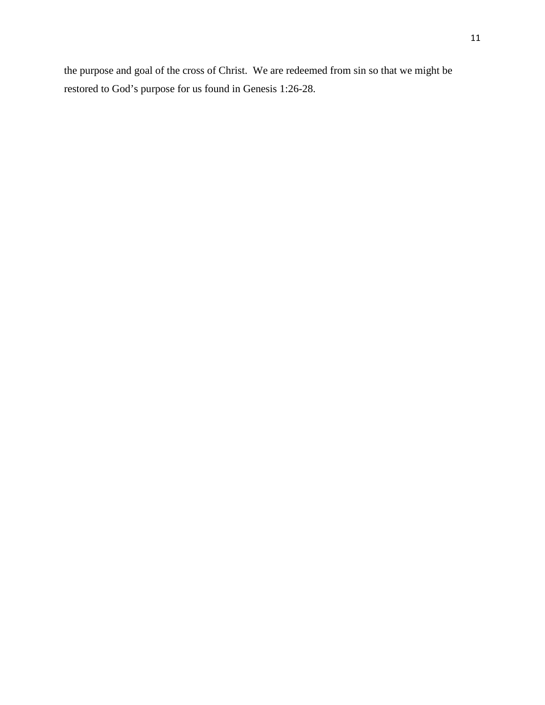the purpose and goal of the cross of Christ. We are redeemed from sin so that we might be restored to God's purpose for us found in Genesis 1:26-28.